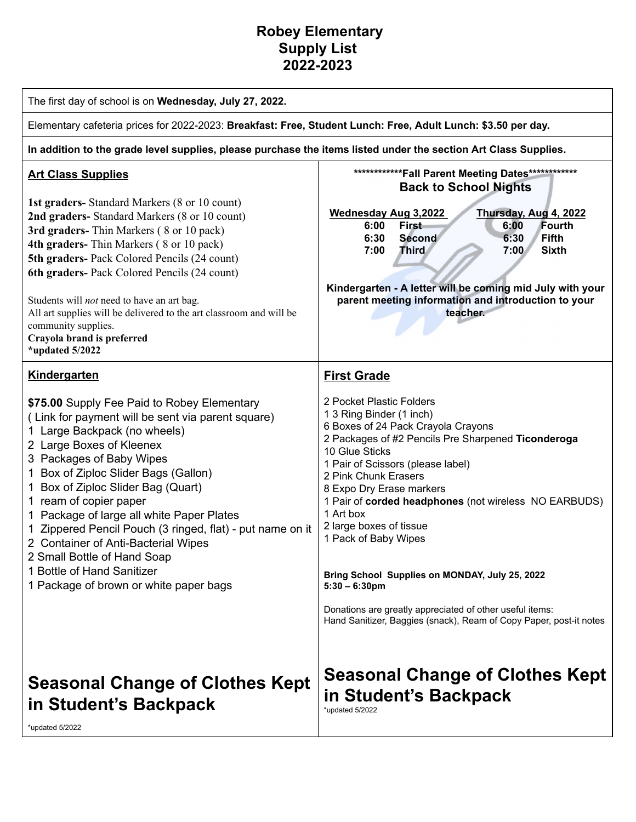## **Robey Elementary Supply List 2022-2023**

| The first day of school is on Wednesday, July 27, 2022.                                                                                                                                                                                                                                                                                                                                                                                                                                                                                                                  |                                                                                                                                                                                                                                                                                                                                                                                                                                                                                                                                                                                                                    |  |
|--------------------------------------------------------------------------------------------------------------------------------------------------------------------------------------------------------------------------------------------------------------------------------------------------------------------------------------------------------------------------------------------------------------------------------------------------------------------------------------------------------------------------------------------------------------------------|--------------------------------------------------------------------------------------------------------------------------------------------------------------------------------------------------------------------------------------------------------------------------------------------------------------------------------------------------------------------------------------------------------------------------------------------------------------------------------------------------------------------------------------------------------------------------------------------------------------------|--|
| Elementary cafeteria prices for 2022-2023: Breakfast: Free, Student Lunch: Free, Adult Lunch: \$3.50 per day.                                                                                                                                                                                                                                                                                                                                                                                                                                                            |                                                                                                                                                                                                                                                                                                                                                                                                                                                                                                                                                                                                                    |  |
| In addition to the grade level supplies, please purchase the items listed under the section Art Class Supplies.                                                                                                                                                                                                                                                                                                                                                                                                                                                          |                                                                                                                                                                                                                                                                                                                                                                                                                                                                                                                                                                                                                    |  |
| <b>Art Class Supplies</b><br>1st graders- Standard Markers (8 or 10 count)<br>2nd graders- Standard Markers (8 or 10 count)<br>3rd graders-Thin Markers (8 or 10 pack)<br>4th graders-Thin Markers (8 or 10 pack)<br>5th graders- Pack Colored Pencils (24 count)<br>6th graders- Pack Colored Pencils (24 count)<br>Students will <i>not</i> need to have an art bag.<br>All art supplies will be delivered to the art classroom and will be<br>community supplies.<br>Crayola brand is preferred<br>*updated 5/2022                                                    | *************Fall Parent Meeting Dates*************<br><b>Back to School Nights</b><br><b>Wednesday Aug 3,2022</b><br>Thursday, Aug 4, 2022<br><b>First</b><br>6:00<br>Fourth<br>6:00<br>6:30<br><b>Fifth</b><br>6:30<br><b>Second</b><br>Third<br>7:00<br>7:00<br><b>Sixth</b><br>Kindergarten - A letter will be coming mid July with your<br>parent meeting information and introduction to your<br>teacher.                                                                                                                                                                                                    |  |
| Kindergarten<br>\$75.00 Supply Fee Paid to Robey Elementary<br>(Link for payment will be sent via parent square)<br>1 Large Backpack (no wheels)<br>2 Large Boxes of Kleenex<br>3 Packages of Baby Wipes<br>1 Box of Ziploc Slider Bags (Gallon)<br>1 Box of Ziploc Slider Bag (Quart)<br>1 ream of copier paper<br>1 Package of large all white Paper Plates<br>1 Zippered Pencil Pouch (3 ringed, flat) - put name on it<br>2 Container of Anti-Bacterial Wipes<br>2 Small Bottle of Hand Soap<br>1 Bottle of Hand Sanitizer<br>1 Package of brown or white paper bags | <b>First Grade</b><br>2 Pocket Plastic Folders<br>1 3 Ring Binder (1 inch)<br>6 Boxes of 24 Pack Crayola Crayons<br>2 Packages of #2 Pencils Pre Sharpened Ticonderoga<br>10 Glue Sticks<br>1 Pair of Scissors (please label)<br>2 Pink Chunk Erasers<br>8 Expo Dry Erase markers<br>1 Pair of corded headphones (not wireless NO EARBUDS)<br>1 Art box<br>2 large boxes of tissue<br>1 Pack of Baby Wipes<br>Bring School Supplies on MONDAY, July 25, 2022<br>$5:30 - 6:30$ pm<br>Donations are greatly appreciated of other useful items:<br>Hand Sanitizer, Baggies (snack), Ream of Copy Paper, post-it notes |  |
| <b>Seasonal Change of Clothes Kept</b><br>in Student's Backpack<br>*updated 5/2022                                                                                                                                                                                                                                                                                                                                                                                                                                                                                       | <b>Seasonal Change of Clothes Kept</b><br>in Student's Backpack<br>*updated 5/2022                                                                                                                                                                                                                                                                                                                                                                                                                                                                                                                                 |  |